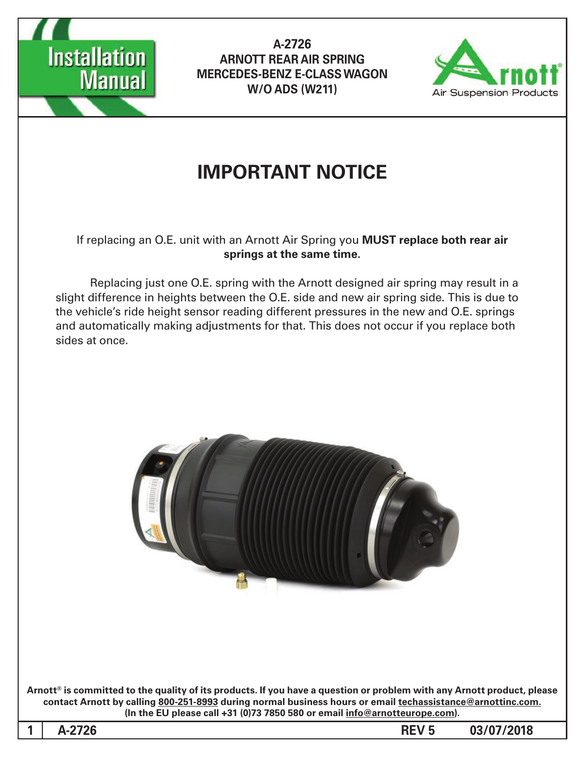



# **IMPORTANT NOTICE**

If replacing an O.E. unit with an Arnott Air Spring you MUST replace both rear air springs at the same time.

Replacing just one O.E. spring with the Arnott designed air spring may result in a slight difference in heights between the O.E. side and new air spring side. This is due to the vehicle's ride height sensor reading different pressures in the new and O.E. springs and automatically making adjustments for that. This does not occur if you replace both sides at once.



Arnott<sup>®</sup> is committed to the quality of its products. If you have a question or problem with any Arnott product, please contact Arnott by calling 800-251-8993 during normal business hours or email techassistance@arnottinc.com. (In the EU please call +31 (0)73 7850 580 or email info@arnotteurope.com).

1 A-2726 **REV 5 03/07/2018**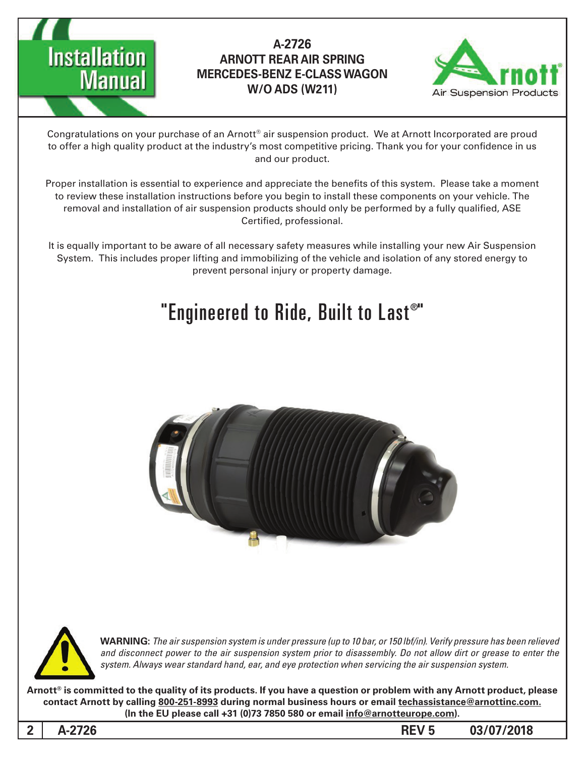



Congratulations on your purchase of an Arnott® air suspension product. We at Arnott Incorporated are proud to offer a high quality product at the industry's most competitive pricing. Thank you for your confidence in us and our product.

Proper installation is essential to experience and appreciate the benefits of this system. Please take a moment to review these installation instructions before you begin to install these components on your vehicle. The removal and installation of air suspension products should only be performed by a fully qualified, ASE Certified, professional.

It is equally important to be aware of all necessary safety measures while installing your new Air Suspension System. This includes proper lifting and immobilizing of the vehicle and isolation of any stored energy to prevent personal injury or property damage.

# "Engineered to Ride, Built to Last®"





*WARNING: The air suspension system is under pressure (up to 10 bar, or 150 lbf/in). Verify pressure has been relieved* and disconnect power to the air suspension system prior to disassembly. Do not allow dirt or grease to enter the system. Always wear standard hand, ear, and eye protection when servicing the air suspension system.

Arnott<sup>®</sup> is committed to the quality of its products. If you have a question or problem with any Arnott product, please contact Arnott by calling 800-251-8993 during normal business hours or email techassistance@arnottinc.com. (In the EU please call +31 (0)73 7850 580 or email info@arnotteurope.com).

2 A-2726 **REV 5 03/07/2018**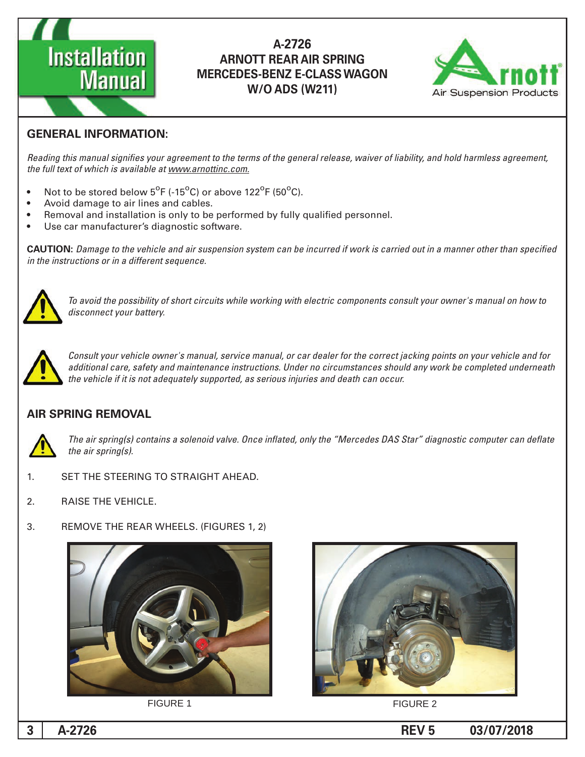



#### **GENERAL INFORMATION:**

Reading this manual signifies your agreement to the terms of the general release, waiver of liability, and hold harmless agreement, the full text of which is available at www.arnottinc.com.

- Not to be stored below  $5^{\circ}$ F (-15 $^{\circ}$ C) or above 122 $^{\circ}$ F (50 $^{\circ}$ C).
- Avoid damage to air lines and cables.
- Removal and installation is only to be performed by fully qualified personnel.
- Use car manufacturer's diagnostic software.

**CAUTION:** Damage to the vehicle and air suspension system can be incurred if work is carried out in a manner other than specified *in the instructions or in a different sequence.* 



 *to how on manual s'owner your consult components electric with working while circuits short of possibility the avoid To* disconnect your battery.



*Consult your vehicle owner's manual, service manual, or car dealer for the correct jacking points on your vehicle and for* additional care, safety and maintenance instructions. Under no circumstances should any work be completed underneath the vehicle if it is not adequately supported, as serious injuries and death can occur.

#### **AIR SPRING REMOVAL**



The air spring(s) contains a solenoid valve. Once inflated, only the "Mercedes DAS Star" diagnostic computer can deflate *the air spring(s).* 

- 1. SET THE STEERING TO STRAIGHT AHEAD.
- 2. RAISE THE VEHICLE.
- 3. REMOVE THE REAR WHEELS. (FIGURES 1, 2)







**FIGURE 1** FIGURE 2

**03/07/2018 5 REV -2726A 3**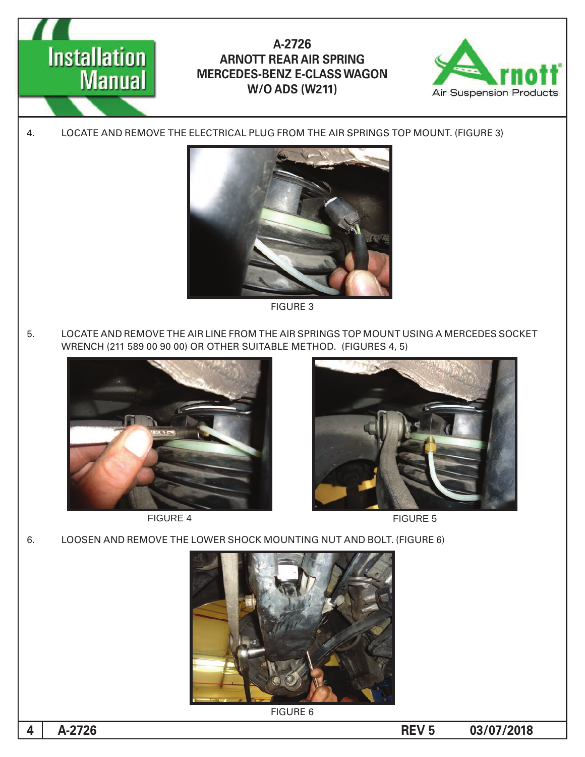



4. LOCATE AND REMOVE THE ELECTRICAL PLUG FROM THE AIR SPRINGS TOP MOUNT. (FIGURE 3)



**FIGURE 3** 

5. LOCATE AND REMOVE THE AIR LINE FROM THE AIR SPRINGS TOP MOUNT USING A MERCEDES SOCKET WRENCH (211 589 00 90 00) OR OTHER SUITABLE METHOD. (FIGURES 4, 5)



FIGURE 4 FIGURE 5





6. LOOSEN AND REMOVE THE LOWER SHOCK MOUNTING NUT AND BOLT. (FIGURE 6)



**FIGURE 6** 

**03/07/2018 5 REV -2726A 4**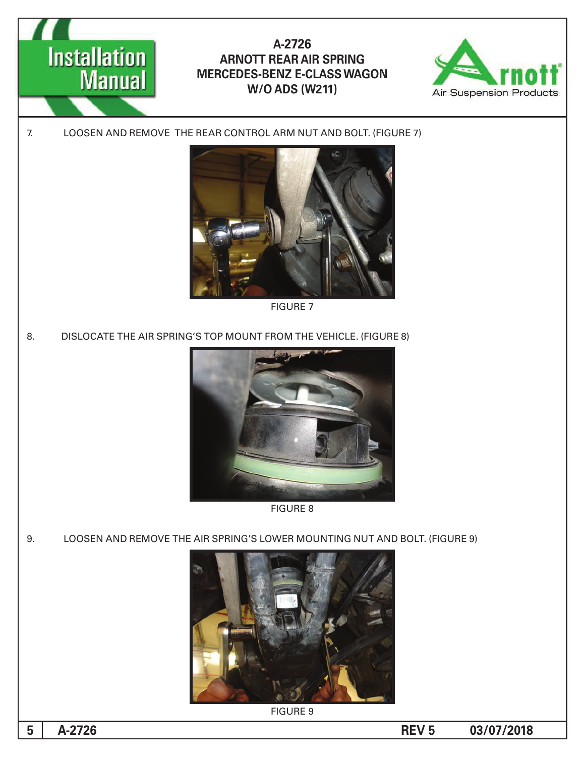



7. LOOSEN AND REMOVE THE REAR CONTROL ARM NUT AND BOLT. (FIGURE 7)



**FIGURE 7** 

8. DISLOCATE THE AIR SPRING'S TOP MOUNT FROM THE VEHICLE. (FIGURE 8)



8 FIGURE

9. LOOSEN AND REMOVE THE AIR SPRING'S LOWER MOUNTING NUT AND BOLT. (FIGURE 9)



**FIGURE 9** 

**03/07/2018 5 REV -2726A 5**